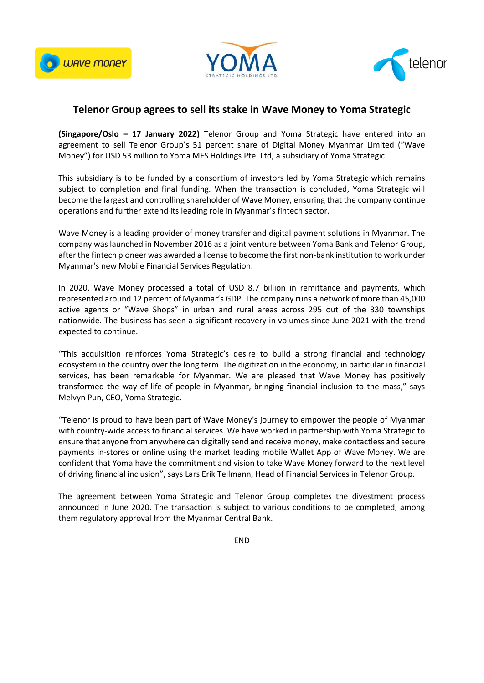





## **Telenor Group agrees to sell its stake in Wave Money to Yoma Strategic**

**(Singapore/Oslo – 17 January 2022)** Telenor Group and Yoma Strategic have entered into an agreement to sell Telenor Group's 51 percent share of Digital Money Myanmar Limited ("Wave Money") for USD 53 million to Yoma MFS Holdings Pte. Ltd, a subsidiary of Yoma Strategic.

This subsidiary is to be funded by a consortium of investors led by Yoma Strategic which remains subject to completion and final funding. When the transaction is concluded, Yoma Strategic will become the largest and controlling shareholder of Wave Money, ensuring that the company continue operations and further extend its leading role in Myanmar's fintech sector.

Wave Money is a leading provider of money transfer and digital payment solutions in Myanmar. The company was launched in November 2016 as a joint venture between Yoma Bank and Telenor Group, after the fintech pioneer was awarded a license to become the first non-bank institution to work under Myanmar's new Mobile Financial Services Regulation.

In 2020, Wave Money processed a total of USD 8.7 billion in remittance and payments, which represented around 12 percent of Myanmar's GDP. The company runs a network of more than 45,000 active agents or "Wave Shops" in urban and rural areas across 295 out of the 330 townships nationwide. The business has seen a significant recovery in volumes since June 2021 with the trend expected to continue.

"This acquisition reinforces Yoma Strategic's desire to build a strong financial and technology ecosystem in the country over the long term. The digitization in the economy, in particular in financial services, has been remarkable for Myanmar. We are pleased that Wave Money has positively transformed the way of life of people in Myanmar, bringing financial inclusion to the mass," says Melvyn Pun, CEO, Yoma Strategic.

"Telenor is proud to have been part of Wave Money's journey to empower the people of Myanmar with country-wide access to financial services. We have worked in partnership with Yoma Strategic to ensure that anyone from anywhere can digitally send and receive money, make contactless and secure payments in-stores or online using the market leading mobile Wallet App of Wave Money. We are confident that Yoma have the commitment and vision to take Wave Money forward to the next level of driving financial inclusion", says Lars Erik Tellmann, Head of Financial Services in Telenor Group.

The agreement between Yoma Strategic and Telenor Group completes the divestment process announced in June 2020. The transaction is subject to various conditions to be completed, among them regulatory approval from the Myanmar Central Bank.

END